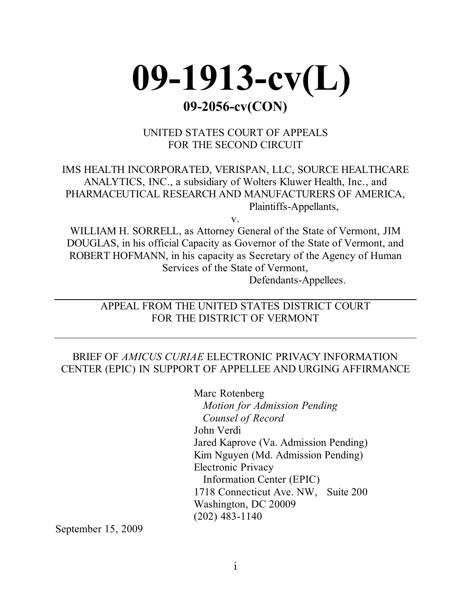

UNITED STATES COURT OF APPEALS FOR THE SECOND CIRCUIT

IMS HEALTH INCORPORATED, VERISPAN, LLC, SOURCE HEALTHCARE ANALYTICS, INC., a subsidiary of Wolters Kluwer Health, Inc., and PHARMACEUTICAL RESEARCH AND MANUFACTURERS OF AMERICA, Plaintiffs-Appellants,

v.

WILLIAM H. SORRELL, as Attorney General of the State of Vermont, JIM DOUGLAS, in his official Capacity as Governor of the State of Vermont, and ROBERT HOFMANN, in his capacity as Secretary of the Agency of Human Services of the State of Vermont, Defendants-Appellees.

APPEAL FROM THE UNITED STATES DISTRICT COURT FOR THE DISTRICT OF VERMONT

### BRIEF OF *AMICUS CURIAE* ELECTRONIC PRIVACY INFORMATION CENTER (EPIC) IN SUPPORT OF APPELLEE AND URGING AFFIRMANCE

Marc Rotenberg *Motion for Admission Pending Counsel of Record* John Verdi Jared Kaprove (Va. Admission Pending) Kim Nguyen (Md. Admission Pending) Electronic Privacy Information Center (EPIC) 1718 Connecticut Ave. NW, Suite 200 Washington, DC 20009 (202) 483-1140

September 15, 2009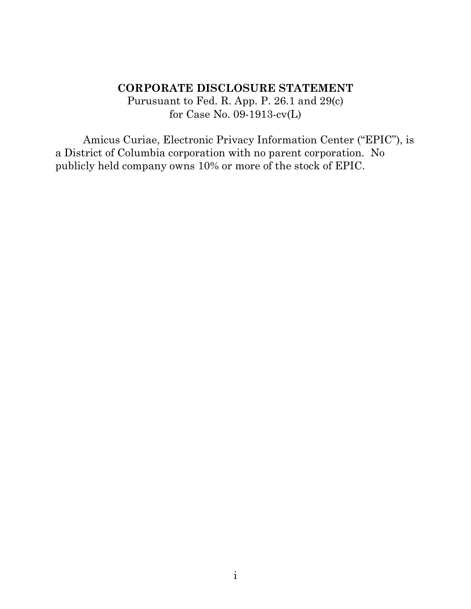## **CORPORATE DISCLOSURE STATEMENT**

Purusuant to Fed. R. App. P. 26.1 and 29(c) for Case No. 09-1913-cv(L)

Amicus Curiae, Electronic Privacy Information Center ("EPIC"), is a District of Columbia corporation with no parent corporation. No publicly held company owns 10% or more of the stock of EPIC.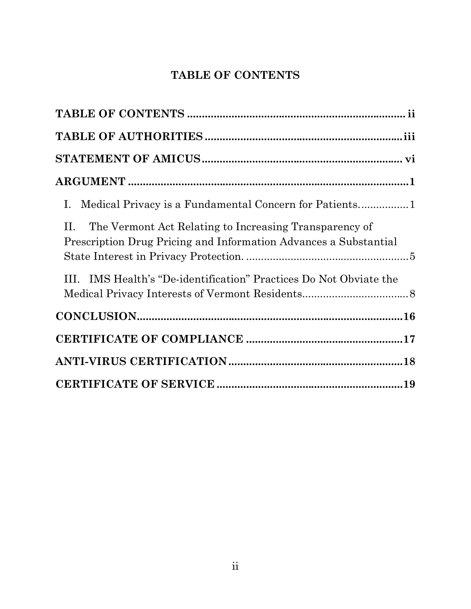# **TABLE OF CONTENTS**

| The Vermont Act Relating to Increasing Transparency of<br>П.<br>Prescription Drug Pricing and Information Advances a Substantial |
|----------------------------------------------------------------------------------------------------------------------------------|
| III. IMS Health's "De-identification" Practices Do Not Obviate the                                                               |
| $CONCLUSION$                                                                                                                     |
|                                                                                                                                  |
|                                                                                                                                  |
|                                                                                                                                  |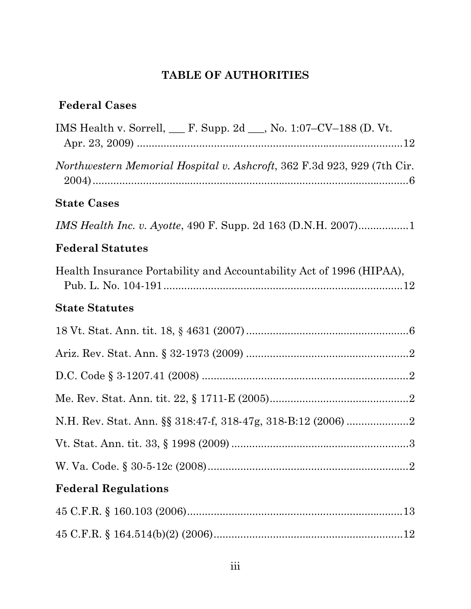## **TABLE OF AUTHORITIES**

## **Federal Cases**

| IMS Health v. Sorrell, $\_\_$ F. Supp. 2d $\_\_$ , No. 1:07–CV–188 (D. Vt.     |
|--------------------------------------------------------------------------------|
| <i>Northwestern Memorial Hospital v. Ashcroft, 362 F.3d 923, 929 (7th Cir.</i> |
| <b>State Cases</b>                                                             |
| <i>IMS Health Inc. v. Ayotte, 490 F. Supp. 2d 163 (D.N.H. 2007)</i> 1          |
| <b>Federal Statutes</b>                                                        |
| Health Insurance Portability and Accountability Act of 1996 (HIPAA),           |
| <b>State Statutes</b>                                                          |
|                                                                                |
|                                                                                |
|                                                                                |
|                                                                                |
|                                                                                |
|                                                                                |
|                                                                                |
| <b>Federal Regulations</b>                                                     |
|                                                                                |
|                                                                                |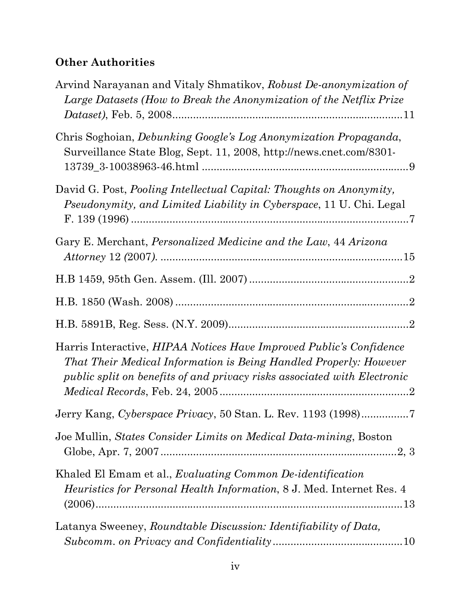## **Other Authorities**

| Arvind Narayanan and Vitaly Shmatikov, Robust De-anonymization of<br>Large Datasets (How to Break the Anonymization of the Netflix Prize                                                                                    |
|-----------------------------------------------------------------------------------------------------------------------------------------------------------------------------------------------------------------------------|
| Chris Soghoian, <i>Debunking Google's Log Anonymization Propaganda</i> ,<br>Surveillance State Blog, Sept. 11, 2008, http://news.cnet.com/8301-                                                                             |
| David G. Post, Pooling Intellectual Capital: Thoughts on Anonymity,<br>Pseudonymity, and Limited Liability in Cyberspace, 11 U. Chi. Legal                                                                                  |
| Gary E. Merchant, <i>Personalized Medicine and the Law</i> , 44 Arizona                                                                                                                                                     |
|                                                                                                                                                                                                                             |
|                                                                                                                                                                                                                             |
|                                                                                                                                                                                                                             |
| Harris Interactive, <i>HIPAA Notices Have Improved Public's Confidence</i><br>That Their Medical Information is Being Handled Properly: However<br>public split on benefits of and privacy risks associated with Electronic |
|                                                                                                                                                                                                                             |
| Joe Mullin, States Consider Limits on Medical Data-mining, Boston                                                                                                                                                           |
| Khaled El Emam et al., Evaluating Common De-identification<br><i>Heuristics for Personal Health Information, 8 J. Med. Internet Res. 4</i>                                                                                  |
| Latanya Sweeney, Roundtable Discussion: Identifiability of Data,                                                                                                                                                            |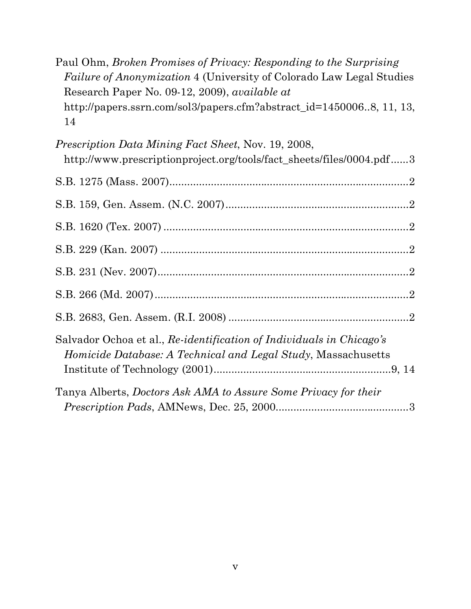| Paul Ohm, Broken Promises of Privacy: Responding to the Surprising          |  |
|-----------------------------------------------------------------------------|--|
| <i>Failure of Anonymization</i> 4 (University of Colorado Law Legal Studies |  |
| Research Paper No. 09-12, 2009), available at                               |  |
| http://papers.ssrn.com/sol3/papers.cfm?abstract_id=14500068, 11, 13,        |  |
| 14                                                                          |  |
| <i>Prescription Data Mining Fact Sheet, Nov. 19, 2008,</i>                  |  |
| http://www.prescriptionproject.org/tools/fact_sheets/files/0004.pdf3        |  |
|                                                                             |  |
|                                                                             |  |
|                                                                             |  |
|                                                                             |  |

| Salvador Ochoa et al., Re-identification of Individuals in Chicago's<br><i>Homicide Database: A Technical and Legal Study, Massachusetts</i> |  |
|----------------------------------------------------------------------------------------------------------------------------------------------|--|
| Tanya Alberts, Doctors Ask AMA to Assure Some Privacy for their                                                                              |  |

*Prescription Pads*, AMNews, Dec. 25, 2000.............................................3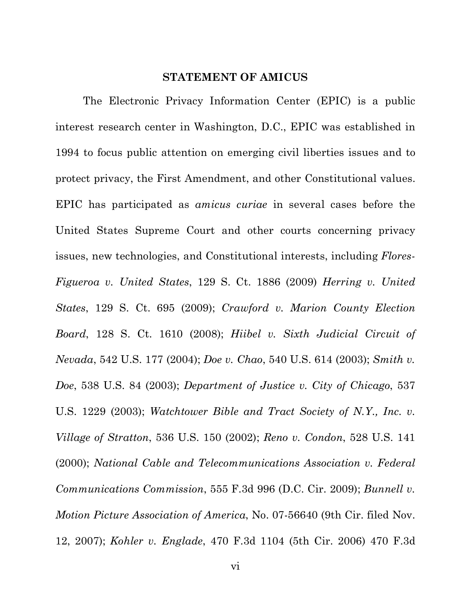#### **STATEMENT OF AMICUS**

The Electronic Privacy Information Center (EPIC) is a public interest research center in Washington, D.C., EPIC was established in 1994 to focus public attention on emerging civil liberties issues and to protect privacy, the First Amendment, and other Constitutional values. EPIC has participated as *amicus curiae* in several cases before the United States Supreme Court and other courts concerning privacy issues, new technologies, and Constitutional interests, including *Flores-Figueroa v. United States*, 129 S. Ct. 1886 (2009) *Herring v. United States*, 129 S. Ct. 695 (2009); *Crawford v. Marion County Election Board*, 128 S. Ct. 1610 (2008); *Hiibel v. Sixth Judicial Circuit of Nevada*, 542 U.S. 177 (2004); *Doe v. Chao*, 540 U.S. 614 (2003); *Smith v. Doe*, 538 U.S. 84 (2003); *Department of Justice v. City of Chicago*, 537 U.S. 1229 (2003); *Watchtower Bible and Tract Society of N.Y., Inc. v. Village of Stratton*, 536 U.S. 150 (2002); *Reno v. Condon*, 528 U.S. 141 (2000); *National Cable and Telecommunications Association v. Federal Communications Commission*, 555 F.3d 996 (D.C. Cir. 2009); *Bunnell v. Motion Picture Association of America*, No. 07-56640 (9th Cir. filed Nov. 12, 2007); *Kohler v. Englade*, 470 F.3d 1104 (5th Cir. 2006) 470 F.3d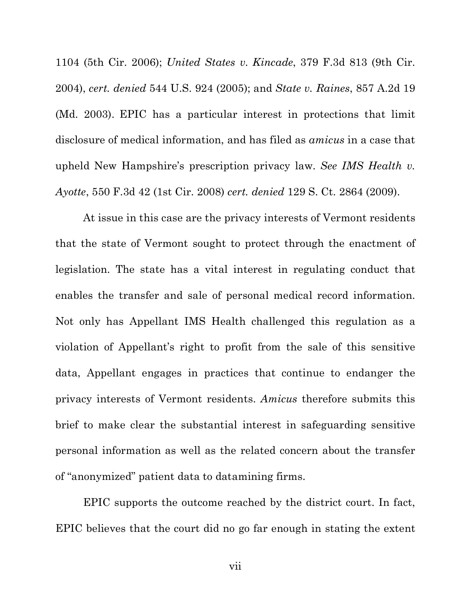1104 (5th Cir. 2006); *United States v. Kincade*, 379 F.3d 813 (9th Cir. 2004), *cert. denied* 544 U.S. 924 (2005); and *State v. Raines*, 857 A.2d 19 (Md. 2003). EPIC has a particular interest in protections that limit disclosure of medical information, and has filed as *amicus* in a case that upheld New Hampshire's prescription privacy law. *See IMS Health v. Ayotte*, 550 F.3d 42 (1st Cir. 2008) *cert. denied* 129 S. Ct. 2864 (2009).

At issue in this case are the privacy interests of Vermont residents that the state of Vermont sought to protect through the enactment of legislation. The state has a vital interest in regulating conduct that enables the transfer and sale of personal medical record information. Not only has Appellant IMS Health challenged this regulation as a violation of Appellant's right to profit from the sale of this sensitive data, Appellant engages in practices that continue to endanger the privacy interests of Vermont residents. *Amicus* therefore submits this brief to make clear the substantial interest in safeguarding sensitive personal information as well as the related concern about the transfer of "anonymized" patient data to datamining firms.

EPIC supports the outcome reached by the district court. In fact, EPIC believes that the court did no go far enough in stating the extent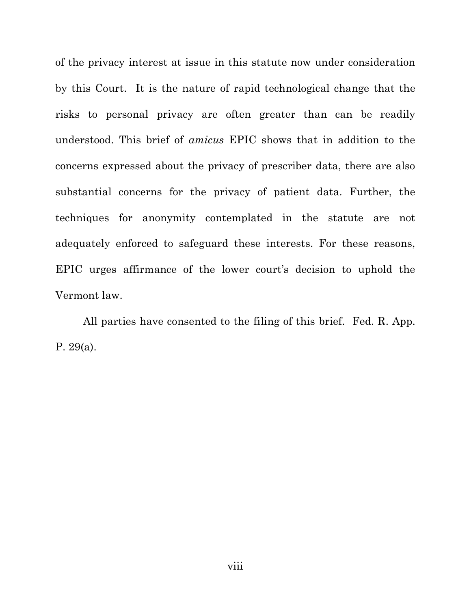of the privacy interest at issue in this statute now under consideration by this Court. It is the nature of rapid technological change that the risks to personal privacy are often greater than can be readily understood. This brief of *amicus* EPIC shows that in addition to the concerns expressed about the privacy of prescriber data, there are also substantial concerns for the privacy of patient data. Further, the techniques for anonymity contemplated in the statute are not adequately enforced to safeguard these interests. For these reasons, EPIC urges affirmance of the lower court's decision to uphold the Vermont law.

All parties have consented to the filing of this brief. Fed. R. App. P. 29(a).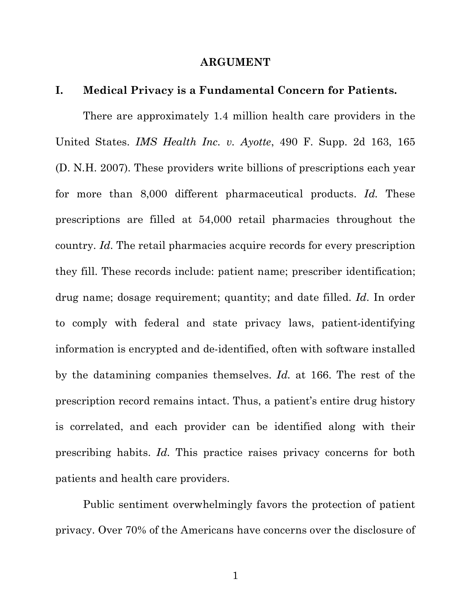#### **ARGUMENT**

### **I. Medical Privacy is a Fundamental Concern for Patients.**

There are approximately 1.4 million health care providers in the United States. *IMS Health Inc. v. Ayotte*, 490 F. Supp. 2d 163, 165 (D. N.H. 2007). These providers write billions of prescriptions each year for more than 8,000 different pharmaceutical products. *Id.* These prescriptions are filled at 54,000 retail pharmacies throughout the country. *Id*. The retail pharmacies acquire records for every prescription they fill. These records include: patient name; prescriber identification; drug name; dosage requirement; quantity; and date filled. *Id*. In order to comply with federal and state privacy laws, patient-identifying information is encrypted and de-identified, often with software installed by the datamining companies themselves. *Id.* at 166. The rest of the prescription record remains intact. Thus, a patient's entire drug history is correlated, and each provider can be identified along with their prescribing habits. *Id.* This practice raises privacy concerns for both patients and health care providers.

Public sentiment overwhelmingly favors the protection of patient privacy. Over 70% of the Americans have concerns over the disclosure of

1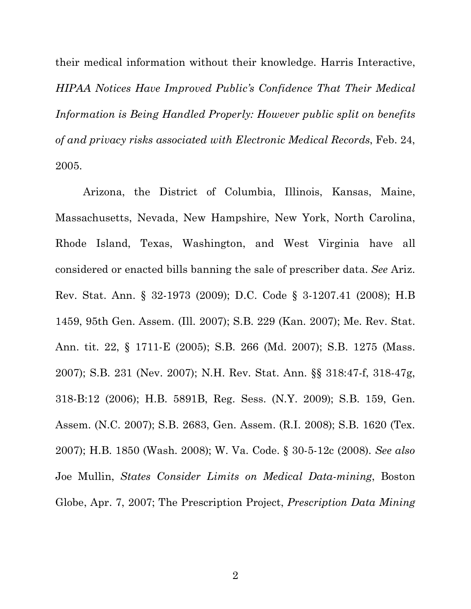their medical information without their knowledge. Harris Interactive, *HIPAA Notices Have Improved Public's Confidence That Their Medical Information is Being Handled Properly: However public split on benefits of and privacy risks associated with Electronic Medical Records*, Feb. 24, 2005.

Arizona, the District of Columbia, Illinois, Kansas, Maine, Massachusetts, Nevada, New Hampshire, New York, North Carolina, Rhode Island, Texas, Washington, and West Virginia have all considered or enacted bills banning the sale of prescriber data. *See* Ariz. Rev. Stat. Ann. § 32-1973 (2009); D.C. Code § 3-1207.41 (2008); H.B 1459, 95th Gen. Assem. (Ill. 2007); S.B. 229 (Kan. 2007); Me. Rev. Stat. Ann. tit. 22, § 1711-E (2005); S.B. 266 (Md. 2007); S.B. 1275 (Mass. 2007); S.B. 231 (Nev. 2007); N.H. Rev. Stat. Ann. §§ 318:47-f, 318-47g, 318-B:12 (2006); H.B. 5891B, Reg. Sess. (N.Y. 2009); S.B. 159, Gen. Assem. (N.C. 2007); S.B. 2683, Gen. Assem. (R.I. 2008); S.B. 1620 (Tex. 2007); H.B. 1850 (Wash. 2008); W. Va. Code. § 30-5-12c (2008). *See also* Joe Mullin, *States Consider Limits on Medical Data-mining*, Boston Globe, Apr. 7, 2007; The Prescription Project, *Prescription Data Mining*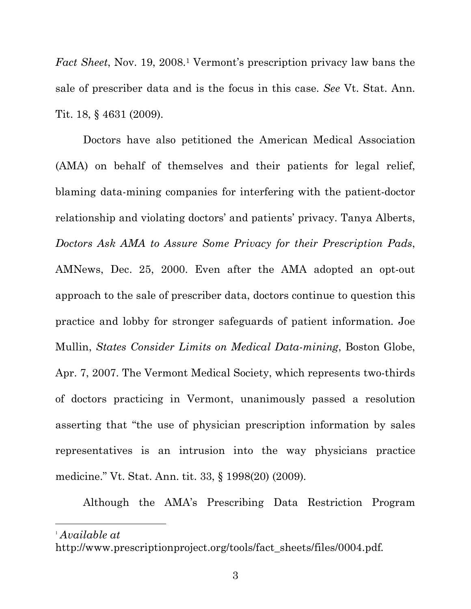*Fact Sheet*, Nov. 19, 2008.<sup>1</sup> Vermont's prescription privacy law bans the sale of prescriber data and is the focus in this case. *See* Vt. Stat. Ann. Tit. 18, § 4631 (2009).

Doctors have also petitioned the American Medical Association (AMA) on behalf of themselves and their patients for legal relief, blaming data-mining companies for interfering with the patient-doctor relationship and violating doctors' and patients' privacy. Tanya Alberts, *Doctors Ask AMA to Assure Some Privacy for their Prescription Pads*, AMNews, Dec. 25, 2000. Even after the AMA adopted an opt-out approach to the sale of prescriber data, doctors continue to question this practice and lobby for stronger safeguards of patient information. Joe Mullin, *States Consider Limits on Medical Data-mining*, Boston Globe, Apr. 7, 2007. The Vermont Medical Society, which represents two-thirds of doctors practicing in Vermont, unanimously passed a resolution asserting that "the use of physician prescription information by sales representatives is an intrusion into the way physicians practice medicine." Vt. Stat. Ann. tit. 33, § 1998(20) (2009).

Although the AMA's Prescribing Data Restriction Program

<sup>1</sup> *Available at*

 $\overline{a}$ 

http://www.prescriptionproject.org/tools/fact\_sheets/files/0004.pdf.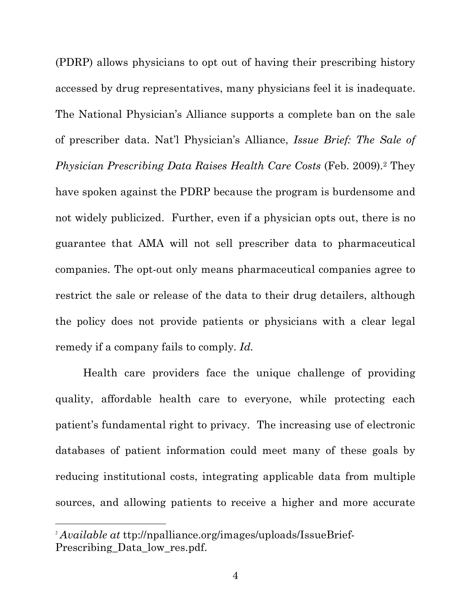(PDRP) allows physicians to opt out of having their prescribing history accessed by drug representatives, many physicians feel it is inadequate. The National Physician's Alliance supports a complete ban on the sale of prescriber data. Nat'l Physician's Alliance, *Issue Brief: The Sale of Physician Prescribing Data Raises Health Care Costs* (Feb. 2009).2 They have spoken against the PDRP because the program is burdensome and not widely publicized. Further, even if a physician opts out, there is no guarantee that AMA will not sell prescriber data to pharmaceutical companies. The opt-out only means pharmaceutical companies agree to restrict the sale or release of the data to their drug detailers, although the policy does not provide patients or physicians with a clear legal remedy if a company fails to comply. *Id.*

Health care providers face the unique challenge of providing quality, affordable health care to everyone, while protecting each patient's fundamental right to privacy. The increasing use of electronic databases of patient information could meet many of these goals by reducing institutional costs, integrating applicable data from multiple sources, and allowing patients to receive a higher and more accurate

 $\overline{a}$ 

<sup>2</sup> *Available at* ttp://npalliance.org/images/uploads/IssueBrief-Prescribing Data low res.pdf.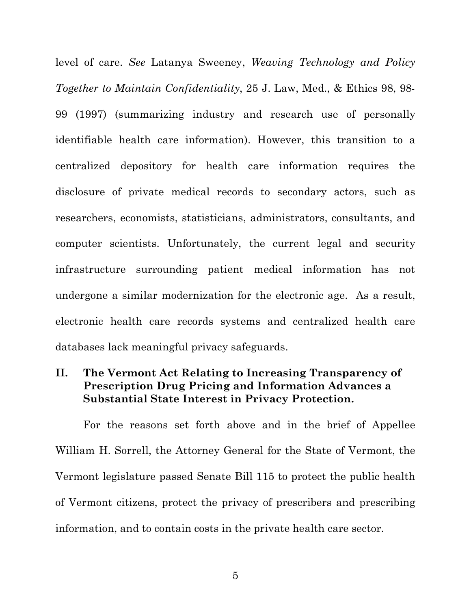level of care. *See* Latanya Sweeney, *Weaving Technology and Policy Together to Maintain Confidentiality*, 25 J. Law, Med., & Ethics 98, 98- 99 (1997) (summarizing industry and research use of personally identifiable health care information). However, this transition to a centralized depository for health care information requires the disclosure of private medical records to secondary actors, such as researchers, economists, statisticians, administrators, consultants, and computer scientists. Unfortunately, the current legal and security infrastructure surrounding patient medical information has not undergone a similar modernization for the electronic age. As a result, electronic health care records systems and centralized health care databases lack meaningful privacy safeguards.

## **II. The Vermont Act Relating to Increasing Transparency of Prescription Drug Pricing and Information Advances a Substantial State Interest in Privacy Protection.**

For the reasons set forth above and in the brief of Appellee William H. Sorrell, the Attorney General for the State of Vermont, the Vermont legislature passed Senate Bill 115 to protect the public health of Vermont citizens, protect the privacy of prescribers and prescribing information, and to contain costs in the private health care sector.

5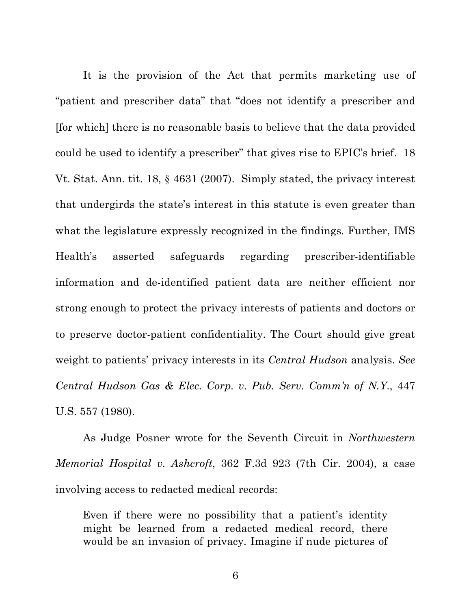It is the provision of the Act that permits marketing use of "patient and prescriber data" that "does not identify a prescriber and [for which] there is no reasonable basis to believe that the data provided could be used to identify a prescriber" that gives rise to EPIC's brief. 18 Vt. Stat. Ann. tit. 18, § 4631 (2007). Simply stated, the privacy interest that undergirds the state's interest in this statute is even greater than what the legislature expressly recognized in the findings. Further, IMS Health's asserted safeguards regarding prescriber-identifiable information and de-identified patient data are neither efficient nor strong enough to protect the privacy interests of patients and doctors or to preserve doctor-patient confidentiality. The Court should give great weight to patients' privacy interests in its *Central Hudson* analysis. *See Central Hudson Gas & Elec. Corp. v. Pub. Serv. Comm'n of N.Y.*, 447 U.S. 557 (1980).

As Judge Posner wrote for the Seventh Circuit in *Northwestern Memorial Hospital v. Ashcroft*, 362 F.3d 923 (7th Cir. 2004), a case involving access to redacted medical records:

Even if there were no possibility that a patient's identity might be learned from a redacted medical record, there would be an invasion of privacy. Imagine if nude pictures of

6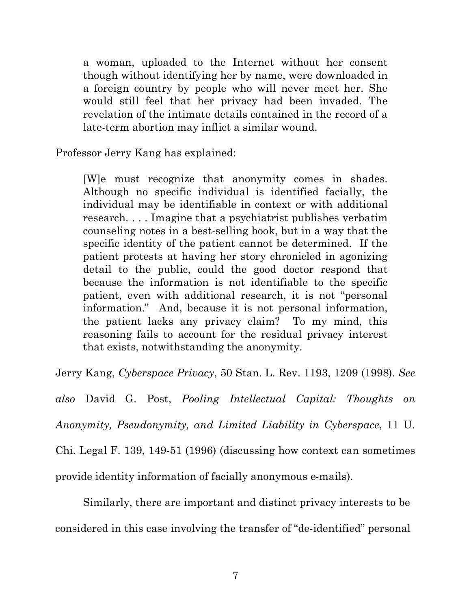a woman, uploaded to the Internet without her consent though without identifying her by name, were downloaded in a foreign country by people who will never meet her. She would still feel that her privacy had been invaded. The revelation of the intimate details contained in the record of a late-term abortion may inflict a similar wound.

Professor Jerry Kang has explained:

[W]e must recognize that anonymity comes in shades. Although no specific individual is identified facially, the individual may be identifiable in context or with additional research. . . . Imagine that a psychiatrist publishes verbatim counseling notes in a best-selling book, but in a way that the specific identity of the patient cannot be determined. If the patient protests at having her story chronicled in agonizing detail to the public, could the good doctor respond that because the information is not identifiable to the specific patient, even with additional research, it is not "personal information." And, because it is not personal information, the patient lacks any privacy claim? To my mind, this reasoning fails to account for the residual privacy interest that exists, notwithstanding the anonymity.

Jerry Kang, *Cyberspace Privacy*, 50 Stan. L. Rev. 1193, 1209 (1998). *See* 

*also* David G. Post, *Pooling Intellectual Capital: Thoughts on Anonymity, Pseudonymity, and Limited Liability in Cyberspace*, 11 U. Chi. Legal F. 139, 149-51 (1996) (discussing how context can sometimes provide identity information of facially anonymous e-mails).

Similarly, there are important and distinct privacy interests to be considered in this case involving the transfer of "de-identified" personal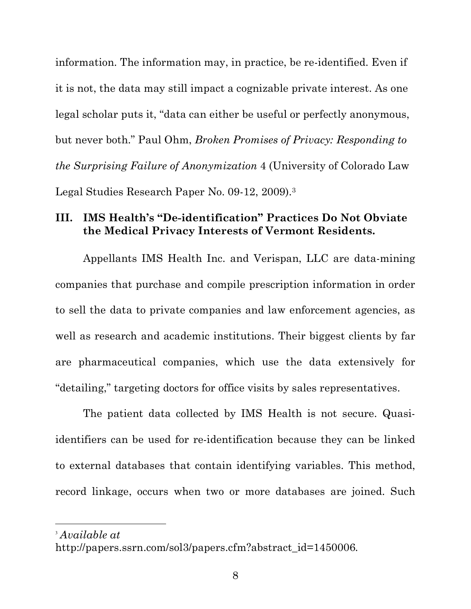information. The information may, in practice, be re-identified. Even if it is not, the data may still impact a cognizable private interest. As one legal scholar puts it, "data can either be useful or perfectly anonymous, but never both." Paul Ohm, *Broken Promises of Privacy: Responding to the Surprising Failure of Anonymization* 4 (University of Colorado Law Legal Studies Research Paper No. 09-12, 2009).3

## **III. IMS Health's "De-identification" Practices Do Not Obviate the Medical Privacy Interests of Vermont Residents.**

Appellants IMS Health Inc. and Verispan, LLC are data-mining companies that purchase and compile prescription information in order to sell the data to private companies and law enforcement agencies, as well as research and academic institutions. Their biggest clients by far are pharmaceutical companies, which use the data extensively for "detailing," targeting doctors for office visits by sales representatives.

The patient data collected by IMS Health is not secure. Quasiidentifiers can be used for re-identification because they can be linked to external databases that contain identifying variables. This method, record linkage, occurs when two or more databases are joined. Such

<sup>3</sup> *Available at*

 $\overline{a}$ 

http://papers.ssrn.com/sol3/papers.cfm?abstract\_id=1450006.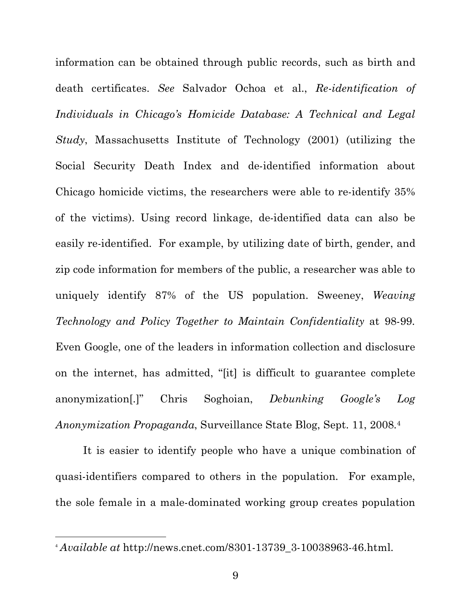information can be obtained through public records, such as birth and death certificates. *See* Salvador Ochoa et al., *Re-identification of Individuals in Chicago's Homicide Database: A Technical and Legal Study*, Massachusetts Institute of Technology (2001) (utilizing the Social Security Death Index and de-identified information about Chicago homicide victims, the researchers were able to re-identify 35% of the victims). Using record linkage, de-identified data can also be easily re-identified. For example, by utilizing date of birth, gender, and zip code information for members of the public, a researcher was able to uniquely identify 87% of the US population. Sweeney, *Weaving Technology and Policy Together to Maintain Confidentiality* at 98-99. Even Google, one of the leaders in information collection and disclosure on the internet, has admitted, "[it] is difficult to guarantee complete anonymization[.]" Chris Soghoian, *Debunking Google's Log Anonymization Propaganda*, Surveillance State Blog, Sept. 11, 2008.4

It is easier to identify people who have a unique combination of quasi-identifiers compared to others in the population. For example, the sole female in a male-dominated working group creates population

l

<sup>4</sup> *Available at* http://news.cnet.com/8301-13739\_3-10038963-46.html.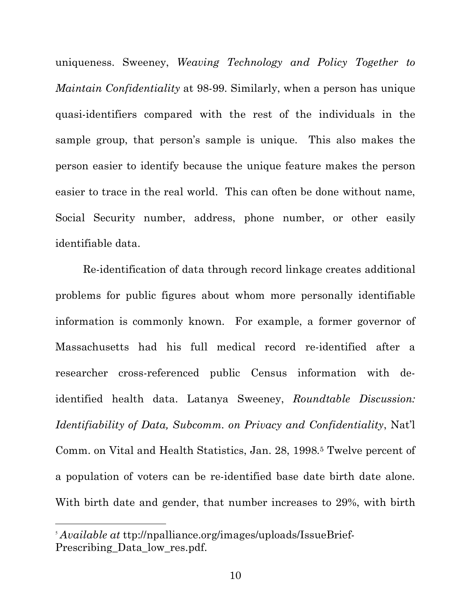uniqueness. Sweeney, *Weaving Technology and Policy Together to Maintain Confidentiality* at 98-99. Similarly, when a person has unique quasi-identifiers compared with the rest of the individuals in the sample group, that person's sample is unique. This also makes the person easier to identify because the unique feature makes the person easier to trace in the real world. This can often be done without name, Social Security number, address, phone number, or other easily identifiable data.

Re-identification of data through record linkage creates additional problems for public figures about whom more personally identifiable information is commonly known. For example, a former governor of Massachusetts had his full medical record re-identified after a researcher cross-referenced public Census information with deidentified health data. Latanya Sweeney, *Roundtable Discussion: Identifiability of Data, Subcomm. on Privacy and Confidentiality*, Nat'l Comm. on Vital and Health Statistics, Jan. 28, 1998.<sup>5</sup> Twelve percent of a population of voters can be re-identified base date birth date alone. With birth date and gender, that number increases to 29%, with birth

 $\overline{a}$ 

<sup>5</sup> *Available at* ttp://npalliance.org/images/uploads/IssueBrief-Prescribing Data low res.pdf.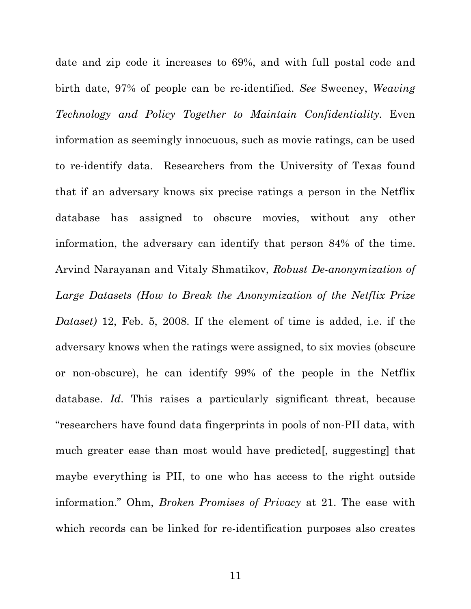date and zip code it increases to 69%, and with full postal code and birth date, 97% of people can be re-identified. *See* Sweeney, *Weaving Technology and Policy Together to Maintain Confidentiality*. Even information as seemingly innocuous, such as movie ratings, can be used to re-identify data. Researchers from the University of Texas found that if an adversary knows six precise ratings a person in the Netflix database has assigned to obscure movies, without any other information, the adversary can identify that person 84% of the time. Arvind Narayanan and Vitaly Shmatikov, *Robust De-anonymization of Large Datasets (How to Break the Anonymization of the Netflix Prize Dataset)* 12, Feb. 5, 2008. If the element of time is added, i.e. if the adversary knows when the ratings were assigned, to six movies (obscure or non-obscure), he can identify 99% of the people in the Netflix database. *Id.* This raises a particularly significant threat, because "researchers have found data fingerprints in pools of non-PII data, with much greater ease than most would have predicted[, suggesting] that maybe everything is PII, to one who has access to the right outside information." Ohm, *Broken Promises of Privacy* at 21. The ease with which records can be linked for re-identification purposes also creates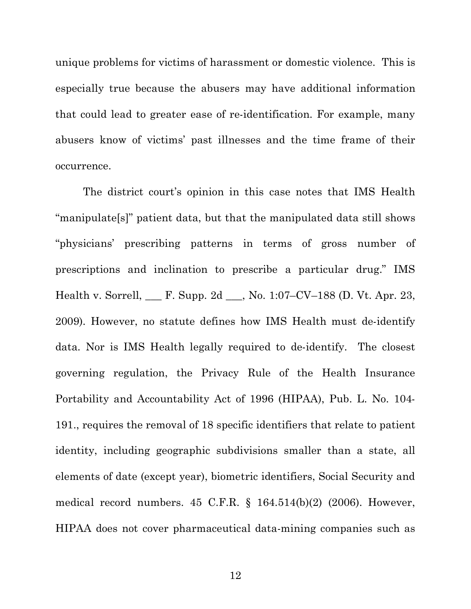unique problems for victims of harassment or domestic violence. This is especially true because the abusers may have additional information that could lead to greater ease of re-identification. For example, many abusers know of victims' past illnesses and the time frame of their occurrence.

The district court's opinion in this case notes that IMS Health "manipulate[s]" patient data, but that the manipulated data still shows "physicians' prescribing patterns in terms of gross number of prescriptions and inclination to prescribe a particular drug." IMS Health v. Sorrell, \_\_\_ F. Supp. 2d \_\_\_, No. 1:07–CV–188 (D. Vt. Apr. 23, 2009). However, no statute defines how IMS Health must de-identify data. Nor is IMS Health legally required to de-identify. The closest governing regulation, the Privacy Rule of the Health Insurance Portability and Accountability Act of 1996 (HIPAA), Pub. L. No. 104- 191., requires the removal of 18 specific identifiers that relate to patient identity, including geographic subdivisions smaller than a state, all elements of date (except year), biometric identifiers, Social Security and medical record numbers. 45 C.F.R. § 164.514(b)(2) (2006). However, HIPAA does not cover pharmaceutical data-mining companies such as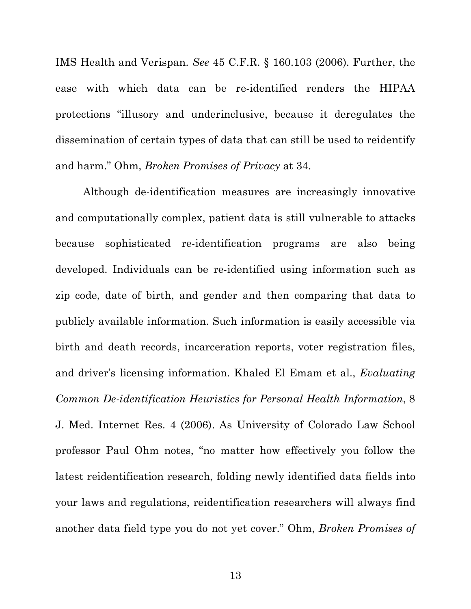IMS Health and Verispan. *See* 45 C.F.R. § 160.103 (2006). Further, the ease with which data can be re-identified renders the HIPAA protections "illusory and underinclusive, because it deregulates the dissemination of certain types of data that can still be used to reidentify and harm." Ohm, *Broken Promises of Privacy* at 34.

Although de-identification measures are increasingly innovative and computationally complex, patient data is still vulnerable to attacks because sophisticated re-identification programs are also being developed. Individuals can be re-identified using information such as zip code, date of birth, and gender and then comparing that data to publicly available information. Such information is easily accessible via birth and death records, incarceration reports, voter registration files, and driver's licensing information. Khaled El Emam et al., *Evaluating Common De-identification Heuristics for Personal Health Information*, 8 J. Med. Internet Res. 4 (2006). As University of Colorado Law School professor Paul Ohm notes, "no matter how effectively you follow the latest reidentification research, folding newly identified data fields into your laws and regulations, reidentification researchers will always find another data field type you do not yet cover." Ohm, *Broken Promises of* 

13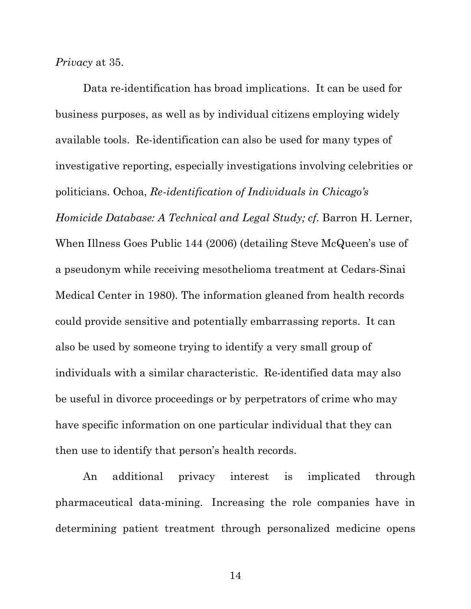*Privacy* at 35.

Data re-identification has broad implications. It can be used for business purposes, as well as by individual citizens employing widely available tools. Re-identification can also be used for many types of investigative reporting, especially investigations involving celebrities or politicians. Ochoa, *Re-identification of Individuals in Chicago's Homicide Database: A Technical and Legal Study; cf. Barron H. Lerner,* When Illness Goes Public 144 (2006) (detailing Steve McQueen's use of a pseudonym while receiving mesothelioma treatment at Cedars-Sinai Medical Center in 1980). The information gleaned from health records could provide sensitive and potentially embarrassing reports. It can also be used by someone trying to identify a very small group of individuals with a similar characteristic. Re-identified data may also be useful in divorce proceedings or by perpetrators of crime who may have specific information on one particular individual that they can then use to identify that person's health records.

An additional privacy interest is implicated through pharmaceutical data-mining. Increasing the role companies have in determining patient treatment through personalized medicine opens

14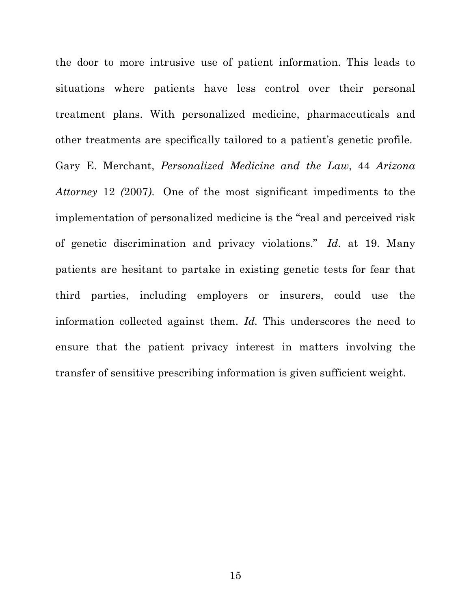the door to more intrusive use of patient information. This leads to situations where patients have less control over their personal treatment plans. With personalized medicine, pharmaceuticals and other treatments are specifically tailored to a patient's genetic profile.

Gary E. Merchant, *Personalized Medicine and the Law*, 44 *Arizona Attorney* 12 *(*2007*)*. One of the most significant impediments to the implementation of personalized medicine is the "real and perceived risk of genetic discrimination and privacy violations." *Id.* at 19. Many patients are hesitant to partake in existing genetic tests for fear that third parties, including employers or insurers, could use the information collected against them. *Id.* This underscores the need to ensure that the patient privacy interest in matters involving the transfer of sensitive prescribing information is given sufficient weight.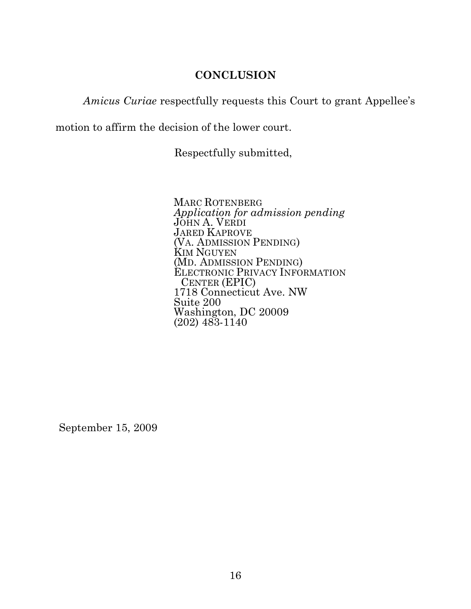## **CONCLUSION**

*Amicus Curiae* respectfully requests this Court to grant Appellee's

motion to affirm the decision of the lower court.

Respectfully submitted,

MARC ROTENBERG *Application for admission pending* JOHN A. VERDI JARED KAPROVE (VA. ADMISSION PENDING) KIM NGUYEN (MD. ADMISSION PENDING) ELECTRONIC PRIVACY INFORMATION CENTER (EPIC) 1718 Connecticut Ave. NW Suite 200 Washington, DC 20009  $(202)$  483-1140

September 15, 2009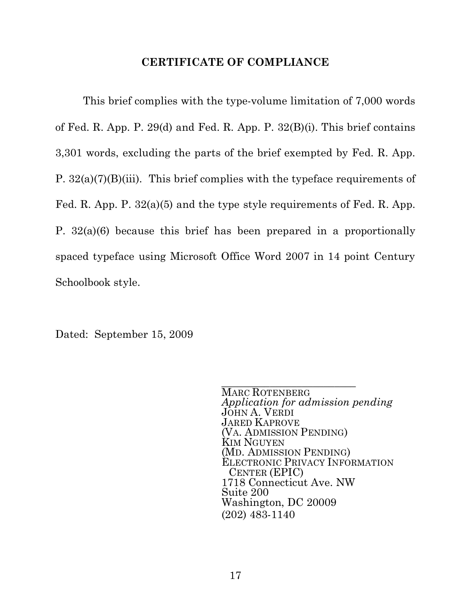### **CERTIFICATE OF COMPLIANCE**

This brief complies with the type-volume limitation of 7,000 words of Fed. R. App. P. 29(d) and Fed. R. App. P. 32(B)(i). This brief contains 3,301 words, excluding the parts of the brief exempted by Fed. R. App. P. 32(a)(7)(B)(iii). This brief complies with the typeface requirements of Fed. R. App. P. 32(a)(5) and the type style requirements of Fed. R. App. P. 32(a)(6) because this brief has been prepared in a proportionally spaced typeface using Microsoft Office Word 2007 in 14 point Century Schoolbook style.

Dated: September 15, 2009

MARC ROTENBERG *Application for admission pending* JOHN A. VERDI JARED KAPROVE (VA. ADMISSION PENDING) KIM NGUYEN (MD. ADMISSION PENDING) ELECTRONIC PRIVACY INFORMATION CENTER (EPIC) 1718 Connecticut Ave. NW Suite 200 Washington, DC 20009 (202) 483-1140

\_\_\_\_\_\_\_\_\_\_\_\_\_\_\_\_\_\_\_\_\_\_\_\_\_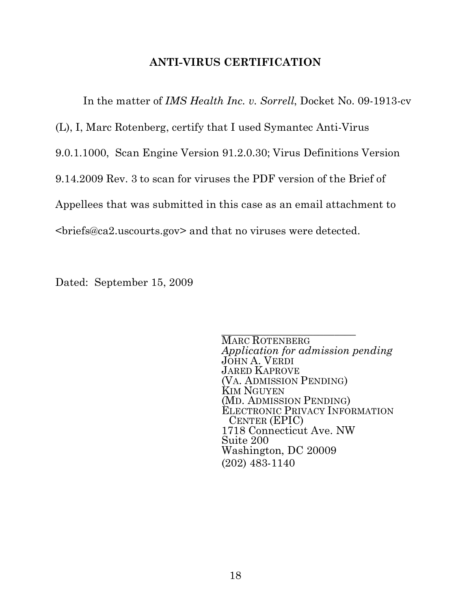## **ANTI-VIRUS CERTIFICATION**

In the matter of *IMS Health Inc. v. Sorrell*, Docket No. 09-1913-cv

(L), I, Marc Rotenberg, certify that I used Symantec Anti-Virus

9.0.1.1000, Scan Engine Version 91.2.0.30; Virus Definitions Version

9.14.2009 Rev. 3 to scan for viruses the PDF version of the Brief of

Appellees that was submitted in this case as an email attachment to

<briefs@ca2.uscourts.gov> and that no viruses were detected.

Dated: September 15, 2009

\_\_\_\_\_\_\_\_\_\_\_\_\_\_\_\_\_\_\_\_\_\_\_\_\_ MARC ROTENBERG *Application for admission pending* JOHN A. VERDI JARED KAPROVE (VA. ADMISSION PENDING) KIM NGUYEN (MD. ADMISSION PENDING) ELECTRONIC PRIVACY INFORMATION CENTER (EPIC) 1718 Connecticut Ave. NW Suite 200 Washington, DC 20009 (202) 483-1140